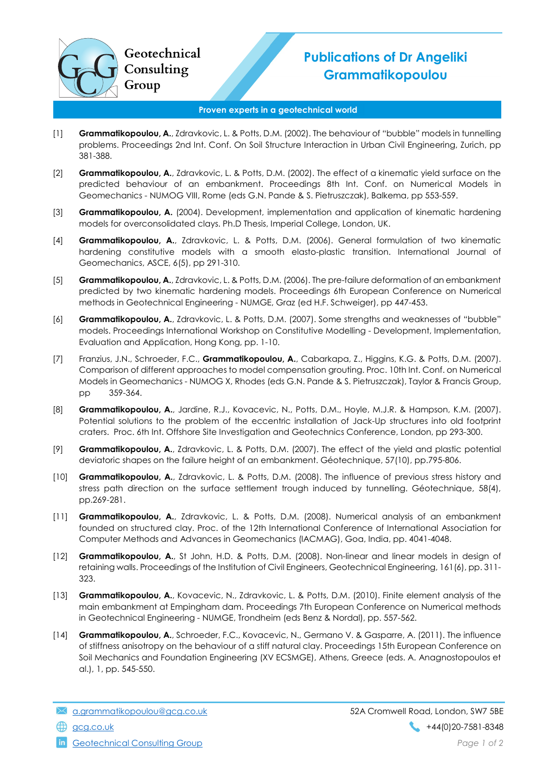## Publications of Dr Angeliki **Grammatikopoulou**

## Proven experts in a geotechnical world

- [1] Grammatikopoulou, A., Zdravkovic, L. & Potts, D.M. (2002). The behaviour of "bubble" models in tunnelling problems. Proceedings 2nd Int. Conf. On Soil Structure Interaction in Urban Civil Engineering, Zurich, pp 381-388.
- [2] Grammatikopoulou, A., Zdravkovic, L. & Potts, D.M. (2002). The effect of a kinematic yield surface on the predicted behaviour of an embankment. Proceedings 8th Int. Conf. on Numerical Models in Geomechanics - NUMOG VIII, Rome (eds G.N. Pande & S. Pietruszczak), Balkema, pp 553-559.
- [3] Grammatikopoulou, A. (2004). Development, implementation and application of kinematic hardening models for overconsolidated clays. Ph.D Thesis, Imperial College, London, UK.
- [4] Grammatikopoulou, A., Zdravkovic, L. & Potts, D.M. (2006). General formulation of two kinematic hardening constitutive models with a smooth elasto-plastic transition. International Journal of Geomechanics, ASCE, 6(5), pp 291-310.
- [5] Grammatikopoulou, A., Zdravkovic, L. & Potts, D.M. (2006). The pre-failure deformation of an embankment predicted by two kinematic hardening models. Proceedings 6th European Conference on Numerical methods in Geotechnical Engineering - NUMGE, Graz (ed H.F. Schweiger), pp 447-453.
- [6] Grammatikopoulou, A., Zdravkovic, L. & Potts, D.M. (2007). Some strengths and weaknesses of "bubble" models. Proceedings International Workshop on Constitutive Modelling - Development, Implementation, Evaluation and Application, Hong Kong, pp. 1-10.
- [7] Franzius, J.N., Schroeder, F.C., Grammatikopoulou, A., Cabarkapa, Z., Higgins, K.G. & Potts, D.M. (2007). Comparison of different approaches to model compensation grouting. Proc. 10th Int. Conf. on Numerical Models in Geomechanics - NUMOG X, Rhodes (eds G.N. Pande & S. Pietruszczak), Taylor & Francis Group, pp 359-364.
- [8] Grammatikopoulou, A., Jardine, R.J., Kovacevic, N., Potts, D.M., Hoyle, M.J.R. & Hampson, K.M. (2007). Potential solutions to the problem of the eccentric installation of Jack-Up structures into old footprint craters. Proc. 6th Int. Offshore Site Investigation and Geotechnics Conference, London, pp 293-300.
- [9] Grammatikopoulou, A., Zdravkovic, L. & Potts, D.M. (2007). The effect of the yield and plastic potential deviatoric shapes on the failure height of an embankment. Géotechnique, 57(10), pp.795-806.
- [10] Grammatikopoulou, A., Zdravkovic, L. & Potts, D.M. (2008). The influence of previous stress history and stress path direction on the surface settlement trough induced by tunnelling. Géotechnique, 58(4), pp.269-281.
- [11] **Grammatikopoulou, A.**, Zdravkovic, L. & Potts, D.M. (2008). Numerical analysis of an embankment founded on structured clay. Proc. of the 12th International Conference of International Association for Computer Methods and Advances in Geomechanics (IACMAG), Goa, India, pp. 4041-4048.
- [12] Grammatikopoulou, A., St John, H.D. & Potts, D.M. (2008). Non-linear and linear models in design of retaining walls. Proceedings of the Institution of Civil Engineers, Geotechnical Engineering, 161(6), pp. 311- 323.
- [13] Grammatikopoulou, A., Kovacevic, N., Zdravkovic, L. & Potts, D.M. (2010). Finite element analysis of the main embankment at Empingham dam. Proceedings 7th European Conference on Numerical methods in Geotechnical Engineering - NUMGE, Trondheim (eds Benz & Nordal), pp. 557-562.
- [14] Grammatikopoulou, A., Schroeder, F.C., Kovacevic, N., Germano V. & Gasparre, A. (2011). The influence of stiffness anisotropy on the behaviour of a stiff natural clay. Proceedings 15th European Conference on Soil Mechanics and Foundation Engineering (XV ECSMGE), Athens, Greece (eds. A. Anagnostopoulos et al.), 1, pp. 545-550.

a.grammatikopoulou@gcg.co.uk 52A Cromwell Road, London, SW7 5BE